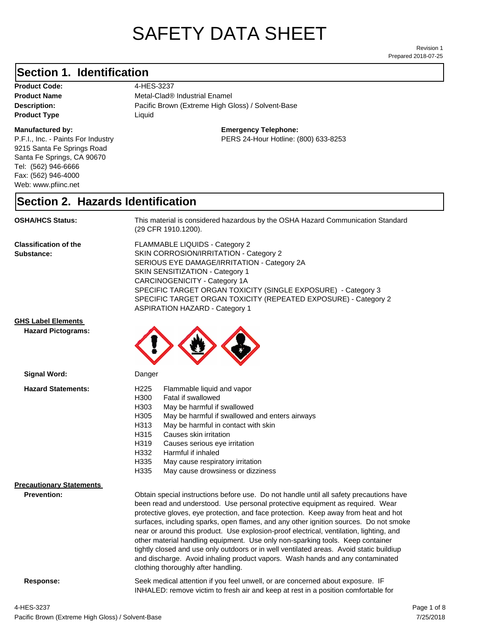# SAFETY DATA SHEET

Prepared 2018-07-25 Revision 1

#### **Section 1. Identification**

Product Code: 4-HES-3237 **Product Type** Liquid

#### **Manufactured by:**

P.F.I., Inc. - Paints For Industry 9215 Santa Fe Springs Road Santa Fe Springs, CA 90670 Tel: (562) 946-6666 Fax: (562) 946-4000 Web: www.pfiinc.net

**Description:** Pacific Brown (Extreme High Gloss) / Solvent-Base **Product Name** Metal-Clad® Industrial Enamel

**Emergency Telephone:**

PERS 24-Hour Hotline: (800) 633-8253

#### **Section 2. Hazards Identification**

**OSHA/HCS Status:** This material is considered hazardous by the OSHA Hazard Communication Standard (29 CFR 1910.1200).

**Classification of the Substance:**

FLAMMABLE LIQUIDS - Category 2 SKIN CORROSION/IRRITATION - Category 2 SERIOUS EYE DAMAGE/IRRITATION - Category 2A SKIN SENSITIZATION - Category 1 CARCINOGENICITY - Category 1A SPECIFIC TARGET ORGAN TOXICITY (SINGLE EXPOSURE) - Category 3 SPECIFIC TARGET ORGAN TOXICITY (REPEATED EXPOSURE) - Category 2 ASPIRATION HAZARD - Category 1

#### **GHS Label Elements**

**Signal Word:**

**Hazard Pictograms:**



- H313 May be harmful in contact with skin
- H315 Causes skin irritation
- H319 Causes serious eye irritation
- H332 Harmful if inhaled
	- H335 May cause respiratory irritation
	- H335 May cause drowsiness or dizziness

#### **Precautionary Statements**

**Prevention:**

Obtain special instructions before use. Do not handle until all safety precautions have been read and understood. Use personal protective equipment as required. Wear protective gloves, eye protection, and face protection. Keep away from heat and hot surfaces, including sparks, open flames, and any other ignition sources. Do not smoke near or around this product. Use explosion-proof electrical, ventilation, lighting, and other material handling equipment. Use only non-sparking tools. Keep container tightly closed and use only outdoors or in well ventilated areas. Avoid static buildiup and discharge. Avoid inhaling product vapors. Wash hands and any contaminated clothing thoroughly after handling.

**Response:** Seek medical attention if you feel unwell, or are concerned about exposure. IF INHALED: remove victim to fresh air and keep at rest in a position comfortable for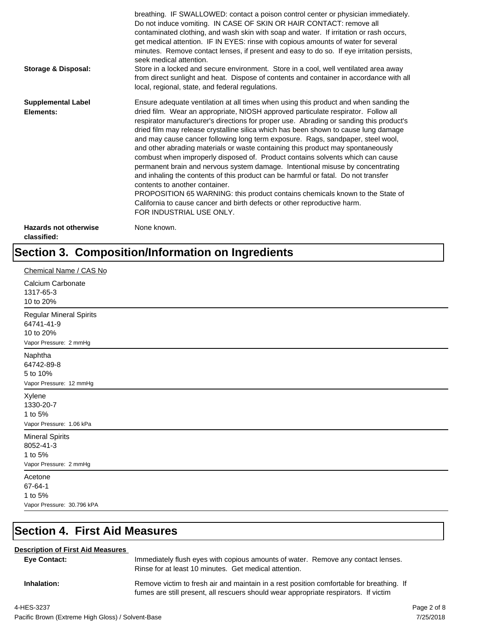| <b>Storage &amp; Disposal:</b>              | breathing. IF SWALLOWED: contact a poison control center or physician immediately.<br>Do not induce vomiting. IN CASE OF SKIN OR HAIR CONTACT: remove all<br>contaminated clothing, and wash skin with soap and water. If irritation or rash occurs,<br>get medical attention. IF IN EYES: rinse with copious amounts of water for several<br>minutes. Remove contact lenses, if present and easy to do so. If eye irritation persists,<br>seek medical attention.<br>Store in a locked and secure environment. Store in a cool, well ventilated area away<br>from direct sunlight and heat. Dispose of contents and container in accordance with all<br>local, regional, state, and federal regulations.                                                                                                                                                                                                                                                                                                                |
|---------------------------------------------|--------------------------------------------------------------------------------------------------------------------------------------------------------------------------------------------------------------------------------------------------------------------------------------------------------------------------------------------------------------------------------------------------------------------------------------------------------------------------------------------------------------------------------------------------------------------------------------------------------------------------------------------------------------------------------------------------------------------------------------------------------------------------------------------------------------------------------------------------------------------------------------------------------------------------------------------------------------------------------------------------------------------------|
| <b>Supplemental Label</b><br>Elements:      | Ensure adequate ventilation at all times when using this product and when sanding the<br>dried film. Wear an appropriate, NIOSH approved particulate respirator. Follow all<br>respirator manufacturer's directions for proper use. Abrading or sanding this product's<br>dried film may release crystalline silica which has been shown to cause lung damage<br>and may cause cancer following long term exposure. Rags, sandpaper, steel wool,<br>and other abrading materials or waste containing this product may spontaneously<br>combust when improperly disposed of. Product contains solvents which can cause<br>permanent brain and nervous system damage. Intentional misuse by concentrating<br>and inhaling the contents of this product can be harmful or fatal. Do not transfer<br>contents to another container.<br>PROPOSITION 65 WARNING: this product contains chemicals known to the State of<br>California to cause cancer and birth defects or other reproductive harm.<br>FOR INDUSTRIAL USE ONLY. |
| <b>Hazards not otherwise</b><br>classified: | None known.                                                                                                                                                                                                                                                                                                                                                                                                                                                                                                                                                                                                                                                                                                                                                                                                                                                                                                                                                                                                              |

## **Section 3. Composition/Information on Ingredients**

| Chemical Name / CAS No                                                              |
|-------------------------------------------------------------------------------------|
| Calcium Carbonate<br>1317-65-3<br>10 to 20%                                         |
| <b>Regular Mineral Spirits</b><br>64741-41-9<br>10 to 20%<br>Vapor Pressure: 2 mmHg |
| Naphtha<br>64742-89-8<br>5 to 10%<br>Vapor Pressure: 12 mmHg                        |
| Xylene<br>1330-20-7<br>1 to 5%<br>Vapor Pressure: 1.06 kPa                          |
| <b>Mineral Spirits</b><br>8052-41-3<br>1 to 5%<br>Vapor Pressure: 2 mmHg            |
| Acetone<br>67-64-1<br>1 to 5%<br>Vapor Pressure: 30.796 kPA                         |

## **Section 4. First Aid Measures**

#### **Description of First Aid Measures**

| <b>Eve Contact:</b> | Immediately flush eyes with copious amounts of water. Remove any contact lenses.<br>Rinse for at least 10 minutes. Get medical attention.                                        |
|---------------------|----------------------------------------------------------------------------------------------------------------------------------------------------------------------------------|
| Inhalation:         | Remove victim to fresh air and maintain in a rest position comfortable for breathing. If<br>fumes are still present, all rescuers should wear appropriate respirators. If victim |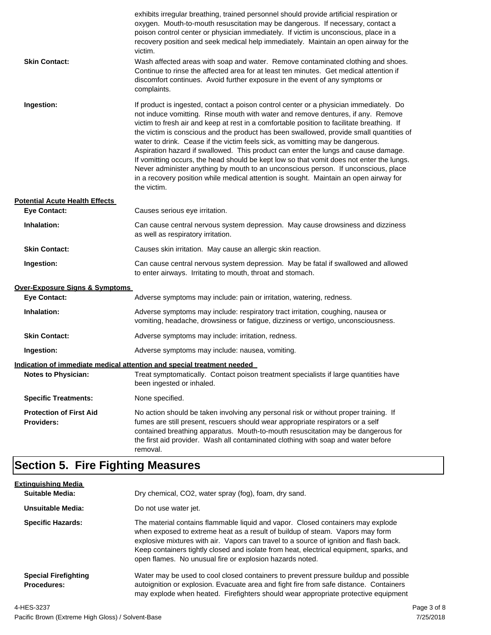| <b>Skin Contact:</b>                                | exhibits irregular breathing, trained personnel should provide artificial respiration or<br>oxygen. Mouth-to-mouth resuscitation may be dangerous. If necessary, contact a<br>poison control center or physician immediately. If victim is unconscious, place in a<br>recovery position and seek medical help immediately. Maintain an open airway for the<br>victim.<br>Wash affected areas with soap and water. Remove contaminated clothing and shoes.<br>Continue to rinse the affected area for at least ten minutes. Get medical attention if<br>discomfort continues. Avoid further exposure in the event of any symptoms or<br>complaints.                                                                                                                                                                                    |
|-----------------------------------------------------|---------------------------------------------------------------------------------------------------------------------------------------------------------------------------------------------------------------------------------------------------------------------------------------------------------------------------------------------------------------------------------------------------------------------------------------------------------------------------------------------------------------------------------------------------------------------------------------------------------------------------------------------------------------------------------------------------------------------------------------------------------------------------------------------------------------------------------------|
| Ingestion:                                          | If product is ingested, contact a poison control center or a physician immediately. Do<br>not induce vomitting. Rinse mouth with water and remove dentures, if any. Remove<br>victim to fresh air and keep at rest in a comfortable position to facilitate breathing. If<br>the victim is conscious and the product has been swallowed, provide small quantities of<br>water to drink. Cease if the victim feels sick, as vomitting may be dangerous.<br>Aspiration hazard if swallowed. This product can enter the lungs and cause damage.<br>If vomitting occurs, the head should be kept low so that vomit does not enter the lungs.<br>Never administer anything by mouth to an unconscious person. If unconscious, place<br>in a recovery position while medical attention is sought. Maintain an open airway for<br>the victim. |
| <b>Potential Acute Health Effects</b>               |                                                                                                                                                                                                                                                                                                                                                                                                                                                                                                                                                                                                                                                                                                                                                                                                                                       |
| <b>Eye Contact:</b>                                 | Causes serious eye irritation.                                                                                                                                                                                                                                                                                                                                                                                                                                                                                                                                                                                                                                                                                                                                                                                                        |
| Inhalation:                                         | Can cause central nervous system depression. May cause drowsiness and dizziness<br>as well as respiratory irritation.                                                                                                                                                                                                                                                                                                                                                                                                                                                                                                                                                                                                                                                                                                                 |
| <b>Skin Contact:</b>                                | Causes skin irritation. May cause an allergic skin reaction.                                                                                                                                                                                                                                                                                                                                                                                                                                                                                                                                                                                                                                                                                                                                                                          |
| Ingestion:                                          | Can cause central nervous system depression. May be fatal if swallowed and allowed<br>to enter airways. Irritating to mouth, throat and stomach.                                                                                                                                                                                                                                                                                                                                                                                                                                                                                                                                                                                                                                                                                      |
| <b>Over-Exposure Signs &amp; Symptoms</b>           |                                                                                                                                                                                                                                                                                                                                                                                                                                                                                                                                                                                                                                                                                                                                                                                                                                       |
| <b>Eye Contact:</b>                                 | Adverse symptoms may include: pain or irritation, watering, redness.                                                                                                                                                                                                                                                                                                                                                                                                                                                                                                                                                                                                                                                                                                                                                                  |
| Inhalation:                                         | Adverse symptoms may include: respiratory tract irritation, coughing, nausea or<br>vomiting, headache, drowsiness or fatigue, dizziness or vertigo, unconsciousness.                                                                                                                                                                                                                                                                                                                                                                                                                                                                                                                                                                                                                                                                  |
| <b>Skin Contact:</b>                                | Adverse symptoms may include: irritation, redness.                                                                                                                                                                                                                                                                                                                                                                                                                                                                                                                                                                                                                                                                                                                                                                                    |
| Ingestion:                                          | Adverse symptoms may include: nausea, vomiting.                                                                                                                                                                                                                                                                                                                                                                                                                                                                                                                                                                                                                                                                                                                                                                                       |
|                                                     | Indication of immediate medical attention and special treatment needed                                                                                                                                                                                                                                                                                                                                                                                                                                                                                                                                                                                                                                                                                                                                                                |
| <b>Notes to Physician:</b>                          | Treat symptomatically. Contact poison treatment specialists if large quantities have<br>been ingested or inhaled.                                                                                                                                                                                                                                                                                                                                                                                                                                                                                                                                                                                                                                                                                                                     |
| <b>Specific Treatments:</b>                         | None specified.                                                                                                                                                                                                                                                                                                                                                                                                                                                                                                                                                                                                                                                                                                                                                                                                                       |
| <b>Protection of First Aid</b><br><b>Providers:</b> | No action should be taken involving any personal risk or without proper training. If<br>fumes are still present, rescuers should wear appropriate respirators or a self<br>contained breathing apparatus. Mouth-to-mouth resuscitation may be dangerous for<br>the first aid provider. Wash all contaminated clothing with soap and water before<br>removal.                                                                                                                                                                                                                                                                                                                                                                                                                                                                          |

## **Section 5. Fire Fighting Measures**

| <b>Extinguishing Media</b>                 |                                                                                                                                                                                                                                                                                                                                                                                                                   |  |
|--------------------------------------------|-------------------------------------------------------------------------------------------------------------------------------------------------------------------------------------------------------------------------------------------------------------------------------------------------------------------------------------------------------------------------------------------------------------------|--|
| Suitable Media:                            | Dry chemical, CO2, water spray (fog), foam, dry sand.                                                                                                                                                                                                                                                                                                                                                             |  |
| Unsuitable Media:                          | Do not use water jet.                                                                                                                                                                                                                                                                                                                                                                                             |  |
| <b>Specific Hazards:</b>                   | The material contains flammable liquid and vapor. Closed containers may explode<br>when exposed to extreme heat as a result of buildup of steam. Vapors may form<br>explosive mixtures with air. Vapors can travel to a source of ignition and flash back.<br>Keep containers tightly closed and isolate from heat, electrical equipment, sparks, and<br>open flames. No unusual fire or explosion hazards noted. |  |
| <b>Special Firefighting</b><br>Procedures: | Water may be used to cool closed containers to prevent pressure buildup and possible<br>autoignition or explosion. Evacuate area and fight fire from safe distance. Containers<br>may explode when heated. Firefighters should wear appropriate protective equipment                                                                                                                                              |  |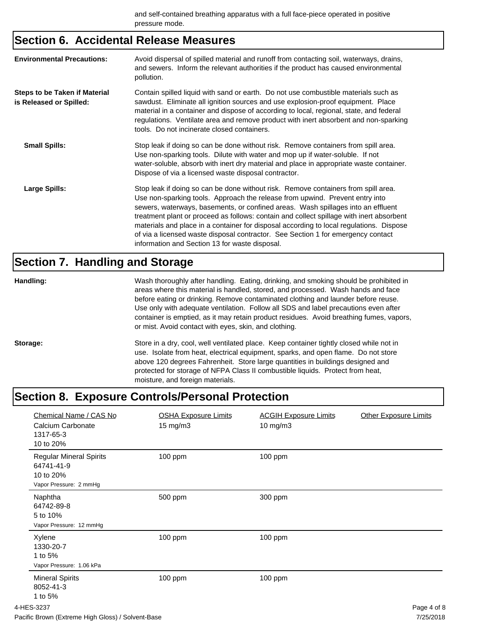### **Section 6. Accidental Release Measures**

| <b>Environmental Precautions:</b>                        | Avoid dispersal of spilled material and runoff from contacting soil, waterways, drains,<br>and sewers. Inform the relevant authorities if the product has caused environmental<br>pollution.                                                                                                                                                                                                                                                                                                                                                                                        |
|----------------------------------------------------------|-------------------------------------------------------------------------------------------------------------------------------------------------------------------------------------------------------------------------------------------------------------------------------------------------------------------------------------------------------------------------------------------------------------------------------------------------------------------------------------------------------------------------------------------------------------------------------------|
| Steps to be Taken if Material<br>is Released or Spilled: | Contain spilled liquid with sand or earth. Do not use combustible materials such as<br>sawdust. Eliminate all ignition sources and use explosion-proof equipment. Place<br>material in a container and dispose of according to local, regional, state, and federal<br>regulations. Ventilate area and remove product with inert absorbent and non-sparking<br>tools. Do not incinerate closed containers.                                                                                                                                                                           |
| <b>Small Spills:</b>                                     | Stop leak if doing so can be done without risk. Remove containers from spill area.<br>Use non-sparking tools. Dilute with water and mop up if water-soluble. If not<br>water-soluble, absorb with inert dry material and place in appropriate waste container.<br>Dispose of via a licensed waste disposal contractor.                                                                                                                                                                                                                                                              |
| Large Spills:                                            | Stop leak if doing so can be done without risk. Remove containers from spill area.<br>Use non-sparking tools. Approach the release from upwind. Prevent entry into<br>sewers, waterways, basements, or confined areas. Wash spillages into an effluent<br>treatment plant or proceed as follows: contain and collect spillage with inert absorbent<br>materials and place in a container for disposal according to local regulations. Dispose<br>of via a licensed waste disposal contractor. See Section 1 for emergency contact<br>information and Section 13 for waste disposal. |

## **Section 7. Handling and Storage**

| Handling: | Wash thoroughly after handling. Eating, drinking, and smoking should be prohibited in<br>areas where this material is handled, stored, and processed. Wash hands and face<br>before eating or drinking. Remove contaminated clothing and launder before reuse.<br>Use only with adequate ventilation. Follow all SDS and label precautions even after<br>container is emptied, as it may retain product residues. Avoid breathing fumes, vapors,<br>or mist. Avoid contact with eyes, skin, and clothing. |
|-----------|-----------------------------------------------------------------------------------------------------------------------------------------------------------------------------------------------------------------------------------------------------------------------------------------------------------------------------------------------------------------------------------------------------------------------------------------------------------------------------------------------------------|
| Storage:  | Store in a dry, cool, well ventilated place. Keep container tightly closed while not in<br>use. Isolate from heat, electrical equipment, sparks, and open flame. Do not store<br>above 120 degrees Fahrenheit. Store large quantities in buildings designed and<br>protected for storage of NFPA Class II combustible liquids. Protect from heat,<br>moisture, and foreign materials.                                                                                                                     |

## **Section 8. Exposure Controls/Personal Protection**

| Chemical Name / CAS No<br>Calcium Carbonate<br>1317-65-3<br>10 to 20%               | <b>OSHA Exposure Limits</b><br>15 mg/m3 | <b>ACGIH Exposure Limits</b><br>10 mg/m3 | <b>Other Exposure Limits</b> |
|-------------------------------------------------------------------------------------|-----------------------------------------|------------------------------------------|------------------------------|
| <b>Regular Mineral Spirits</b><br>64741-41-9<br>10 to 20%<br>Vapor Pressure: 2 mmHg | 100 ppm                                 | 100 ppm                                  |                              |
| Naphtha<br>64742-89-8<br>5 to 10%<br>Vapor Pressure: 12 mmHg                        | 500 ppm                                 | 300 ppm                                  |                              |
| Xylene<br>1330-20-7<br>1 to 5%<br>Vapor Pressure: 1.06 kPa                          | 100 ppm                                 | 100 ppm                                  |                              |
| <b>Mineral Spirits</b><br>8052-41-3<br>1 to 5%                                      | 100 ppm                                 | 100 ppm                                  |                              |
| 4-HES-3237                                                                          |                                         |                                          | Page 4 of 8                  |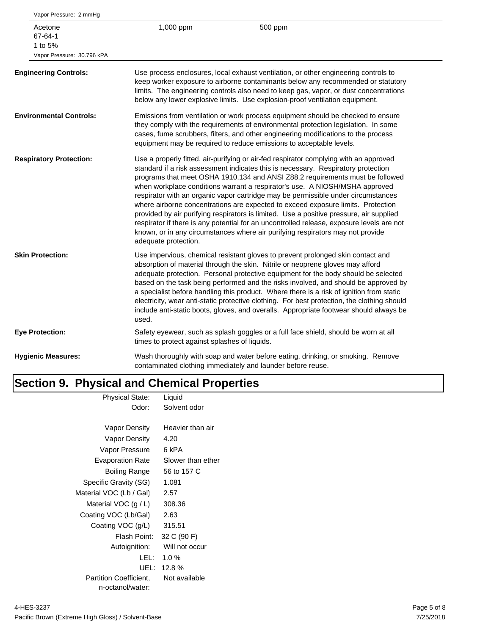| Vapor Pressure: 2 mmHg                                      |                                               |                                                                                                                                                                                                                                                                                                                                                                                                                                                                                                                                                                                                                                                                                                                                                                                               |
|-------------------------------------------------------------|-----------------------------------------------|-----------------------------------------------------------------------------------------------------------------------------------------------------------------------------------------------------------------------------------------------------------------------------------------------------------------------------------------------------------------------------------------------------------------------------------------------------------------------------------------------------------------------------------------------------------------------------------------------------------------------------------------------------------------------------------------------------------------------------------------------------------------------------------------------|
| Acetone<br>67-64-1<br>1 to 5%<br>Vapor Pressure: 30.796 kPA | 1,000 ppm                                     | 500 ppm                                                                                                                                                                                                                                                                                                                                                                                                                                                                                                                                                                                                                                                                                                                                                                                       |
| <b>Engineering Controls:</b>                                |                                               | Use process enclosures, local exhaust ventilation, or other engineering controls to<br>keep worker exposure to airborne contaminants below any recommended or statutory<br>limits. The engineering controls also need to keep gas, vapor, or dust concentrations<br>below any lower explosive limits. Use explosion-proof ventilation equipment.                                                                                                                                                                                                                                                                                                                                                                                                                                              |
| <b>Environmental Controls:</b>                              |                                               | Emissions from ventilation or work process equipment should be checked to ensure<br>they comply with the requirements of environmental protection legislation. In some<br>cases, fume scrubbers, filters, and other engineering modifications to the process<br>equipment may be required to reduce emissions to acceptable levels.                                                                                                                                                                                                                                                                                                                                                                                                                                                           |
| <b>Respiratory Protection:</b>                              | adequate protection.                          | Use a properly fitted, air-purifying or air-fed respirator complying with an approved<br>standard if a risk assessment indicates this is necessary. Respiratory protection<br>programs that meet OSHA 1910.134 and ANSI Z88.2 requirements must be followed<br>when workplace conditions warrant a respirator's use. A NIOSH/MSHA approved<br>respirator with an organic vapor cartridge may be permissible under circumstances<br>where airborne concentrations are expected to exceed exposure limits. Protection<br>provided by air purifying respirators is limited. Use a positive pressure, air supplied<br>respirator if there is any potential for an uncontrolled release, exposure levels are not<br>known, or in any circumstances where air purifying respirators may not provide |
| <b>Skin Protection:</b>                                     | used.                                         | Use impervious, chemical resistant gloves to prevent prolonged skin contact and<br>absorption of material through the skin. Nitrile or neoprene gloves may afford<br>adequate protection. Personal protective equipment for the body should be selected<br>based on the task being performed and the risks involved, and should be approved by<br>a specialist before handling this product. Where there is a risk of ignition from static<br>electricity, wear anti-static protective clothing. For best protection, the clothing should<br>include anti-static boots, gloves, and overalls. Appropriate footwear should always be                                                                                                                                                           |
| <b>Eye Protection:</b>                                      | times to protect against splashes of liquids. | Safety eyewear, such as splash goggles or a full face shield, should be worn at all                                                                                                                                                                                                                                                                                                                                                                                                                                                                                                                                                                                                                                                                                                           |
| <b>Hygienic Measures:</b>                                   |                                               | Wash thoroughly with soap and water before eating, drinking, or smoking. Remove<br>contaminated clothing immediately and launder before reuse.                                                                                                                                                                                                                                                                                                                                                                                                                                                                                                                                                                                                                                                |
|                                                             |                                               |                                                                                                                                                                                                                                                                                                                                                                                                                                                                                                                                                                                                                                                                                                                                                                                               |

## **Section 9. Physical and Chemical Properties**

| <b>Physical State:</b>        | Liquid            |
|-------------------------------|-------------------|
| Odor:                         | Solvent odor      |
|                               |                   |
| Vapor Density                 | Heavier than air  |
| Vapor Density                 | 4.20              |
| Vapor Pressure                | 6 kPA             |
| <b>Evaporation Rate</b>       | Slower than ether |
| Boiling Range                 | 56 to 157 C       |
| Specific Gravity (SG)         | 1.081             |
| Material VOC (Lb / Gal)       | 2.57              |
| Material VOC $(g/L)$          | 308.36            |
| Coating VOC (Lb/Gal)          | 2.63              |
| Coating VOC (g/L)             | 315.51            |
| Flash Point:                  | 32 C (90 F)       |
| Autoignition:                 | Will not occur    |
| LEL:                          | $1.0 \%$          |
| UEL:                          | 12.8%             |
| <b>Partition Coefficient.</b> | Not available     |
| n-octanol/water:              |                   |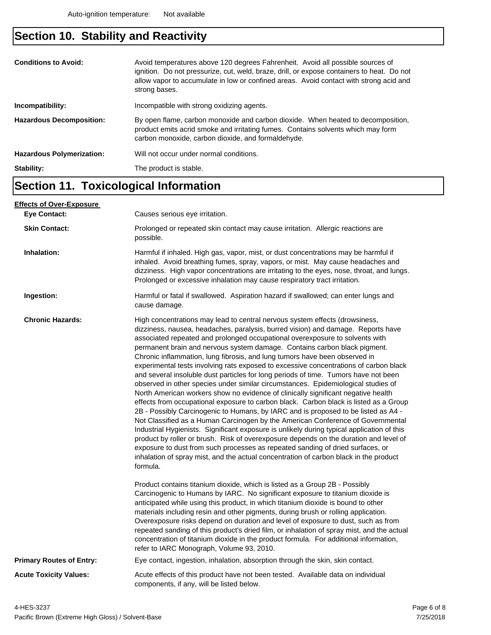## **Section 10. Stability and Reactivity**

| <b>Conditions to Avoid:</b><br>Incompatibility: | Avoid temperatures above 120 degrees Fahrenheit. Avoid all possible sources of<br>ignition. Do not pressurize, cut, weld, braze, drill, or expose containers to heat. Do not<br>allow vapor to accumulate in low or confined areas. Avoid contact with strong acid and<br>strong bases.<br>Incompatible with strong oxidizing agents. |
|-------------------------------------------------|---------------------------------------------------------------------------------------------------------------------------------------------------------------------------------------------------------------------------------------------------------------------------------------------------------------------------------------|
|                                                 |                                                                                                                                                                                                                                                                                                                                       |
| <b>Hazardous Decomposition:</b>                 | By open flame, carbon monoxide and carbon dioxide. When heated to decomposition,<br>product emits acrid smoke and irritating fumes. Contains solvents which may form<br>carbon monoxide, carbon dioxide, and formaldehyde.                                                                                                            |
| <b>Hazardous Polymerization:</b>                | Will not occur under normal conditions.                                                                                                                                                                                                                                                                                               |
| Stability:                                      | The product is stable.                                                                                                                                                                                                                                                                                                                |

#### **Section 11. Toxicological Information**

| <b>Effects of Over-Exposure</b> |                                                                                                                                                                                                                                                                                                                                                                                                                                                                                                                                                                                                                                                                                                                                                                                                                                                                                                                                                                                                                                                                                                                                                                                                                                                                                                                                                                                                                      |
|---------------------------------|----------------------------------------------------------------------------------------------------------------------------------------------------------------------------------------------------------------------------------------------------------------------------------------------------------------------------------------------------------------------------------------------------------------------------------------------------------------------------------------------------------------------------------------------------------------------------------------------------------------------------------------------------------------------------------------------------------------------------------------------------------------------------------------------------------------------------------------------------------------------------------------------------------------------------------------------------------------------------------------------------------------------------------------------------------------------------------------------------------------------------------------------------------------------------------------------------------------------------------------------------------------------------------------------------------------------------------------------------------------------------------------------------------------------|
| <b>Eye Contact:</b>             | Causes serious eye irritation.                                                                                                                                                                                                                                                                                                                                                                                                                                                                                                                                                                                                                                                                                                                                                                                                                                                                                                                                                                                                                                                                                                                                                                                                                                                                                                                                                                                       |
| <b>Skin Contact:</b>            | Prolonged or repeated skin contact may cause irritation. Allergic reactions are<br>possible.                                                                                                                                                                                                                                                                                                                                                                                                                                                                                                                                                                                                                                                                                                                                                                                                                                                                                                                                                                                                                                                                                                                                                                                                                                                                                                                         |
| Inhalation:                     | Harmful if inhaled. High gas, vapor, mist, or dust concentrations may be harmful if<br>inhaled. Avoid breathing fumes, spray, vapors, or mist. May cause headaches and<br>dizziness. High vapor concentrations are irritating to the eyes, nose, throat, and lungs.<br>Prolonged or excessive inhalation may cause respiratory tract irritation.                                                                                                                                                                                                                                                                                                                                                                                                                                                                                                                                                                                                                                                                                                                                                                                                                                                                                                                                                                                                                                                                     |
| Ingestion:                      | Harmful or fatal if swallowed. Aspiration hazard if swallowed; can enter lungs and<br>cause damage.                                                                                                                                                                                                                                                                                                                                                                                                                                                                                                                                                                                                                                                                                                                                                                                                                                                                                                                                                                                                                                                                                                                                                                                                                                                                                                                  |
| <b>Chronic Hazards:</b>         | High concentrations may lead to central nervous system effects (drowsiness,<br>dizziness, nausea, headaches, paralysis, burred vision) and damage. Reports have<br>associated repeated and prolonged occupational overexposure to solvents with<br>permanent brain and nervous system damage. Contains carbon black pigment.<br>Chronic inflammation, lung fibrosis, and lung tumors have been observed in<br>experimental tests involving rats exposed to excessive concentrations of carbon black<br>and several insoluble dust particles for long periods of time. Tumors have not been<br>observed in other species under similar circumstances. Epidemiological studies of<br>North American workers show no evidence of clinically significant negative health<br>effects from occupational exposure to carbon black. Carbon black is listed as a Group<br>2B - Possibly Carcinogenic to Humans, by IARC and is proposed to be listed as A4 -<br>Not Classified as a Human Carcinogen by the American Conference of Governmental<br>Industrial Hygienists. Significant exposure is unlikely during typical application of this<br>product by roller or brush. Risk of overexposure depends on the duration and level of<br>exposure to dust from such processes as repeated sanding of dried surfaces, or<br>inhalation of spray mist, and the actual concentration of carbon black in the product<br>formula. |
|                                 | Product contains titanium dioxide, which is listed as a Group 2B - Possibly<br>Carcinogenic to Humans by IARC. No significant exposure to titanium dioxide is<br>anticipated while using this product, in which titanium dioxide is bound to other<br>materials including resin and other pigments, during brush or rolling application.<br>Overexposure risks depend on duration and level of exposure to dust, such as from<br>repeated sanding of this product's dried film, or inhalation of spray mist, and the actual<br>concentration of titanium dioxide in the product formula. For additional information,<br>refer to IARC Monograph, Volume 93, 2010.                                                                                                                                                                                                                                                                                                                                                                                                                                                                                                                                                                                                                                                                                                                                                    |
| <b>Primary Routes of Entry:</b> | Eye contact, ingestion, inhalation, absorption through the skin, skin contact.                                                                                                                                                                                                                                                                                                                                                                                                                                                                                                                                                                                                                                                                                                                                                                                                                                                                                                                                                                                                                                                                                                                                                                                                                                                                                                                                       |
| <b>Acute Toxicity Values:</b>   | Acute effects of this product have not been tested. Available data on individual<br>components, if any, will be listed below.                                                                                                                                                                                                                                                                                                                                                                                                                                                                                                                                                                                                                                                                                                                                                                                                                                                                                                                                                                                                                                                                                                                                                                                                                                                                                        |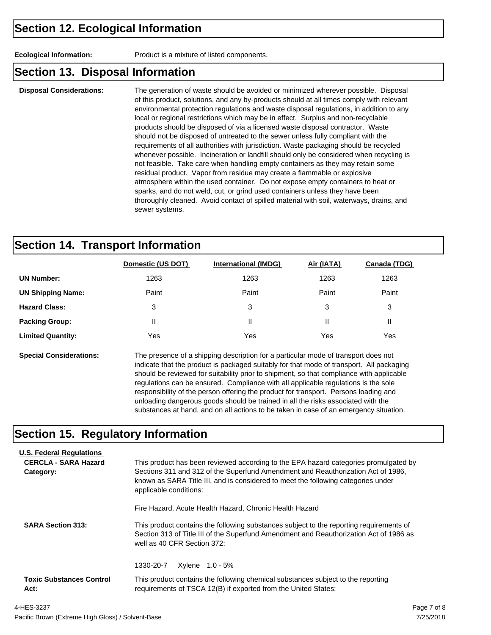**Ecological Information:** Product is a mixture of listed components.

#### **Section 13. Disposal Information**

**Disposal Considerations:** The generation of waste should be avoided or minimized wherever possible. Disposal of this product, solutions, and any by-products should at all times comply with relevant environmental protection regulations and waste disposal regulations, in addition to any local or regional restrictions which may be in effect. Surplus and non-recyclable products should be disposed of via a licensed waste disposal contractor. Waste should not be disposed of untreated to the sewer unless fully compliant with the requirements of all authorities with jurisdiction. Waste packaging should be recycled whenever possible. Incineration or landfill should only be considered when recycling is not feasible. Take care when handling empty containers as they may retain some residual product. Vapor from residue may create a flammable or explosive atmosphere within the used container. Do not expose empty containers to heat or sparks, and do not weld, cut, or grind used containers unless they have been thoroughly cleaned. Avoid contact of spilled material with soil, waterways, drains, and sewer systems.

#### **Section 14. Transport Information**

|                          | Domestic (US DOT) | <b>International (IMDG)</b> | Air (IATA) | Canada (TDG) |
|--------------------------|-------------------|-----------------------------|------------|--------------|
| <b>UN Number:</b>        | 1263              | 1263                        | 1263       | 1263         |
| <b>UN Shipping Name:</b> | Paint             | Paint                       | Paint      | Paint        |
| <b>Hazard Class:</b>     | 3                 | 3                           | 3          | 3            |
| <b>Packing Group:</b>    | Ш                 | Ш                           | Ш          | Ш            |
| <b>Limited Quantity:</b> | Yes               | Yes                         | Yes        | Yes          |
|                          |                   |                             |            |              |

**Special Considerations:** The presence of a shipping description for a particular mode of transport does not indicate that the product is packaged suitably for that mode of transport. All packaging should be reviewed for suitability prior to shipment, so that compliance with applicable regulations can be ensured. Compliance with all applicable regulations is the sole responsibility of the person offering the product for transport. Persons loading and unloading dangerous goods should be trained in all the risks associated with the substances at hand, and on all actions to be taken in case of an emergency situation.

#### **Section 15. Regulatory Information**

| <b>U.S. Federal Regulations</b><br><b>CERCLA - SARA Hazard</b><br>Category: | This product has been reviewed according to the EPA hazard categories promulgated by<br>Sections 311 and 312 of the Superfund Amendment and Reauthorization Act of 1986.<br>known as SARA Title III, and is considered to meet the following categories under<br>applicable conditions: |  |  |  |  |
|-----------------------------------------------------------------------------|-----------------------------------------------------------------------------------------------------------------------------------------------------------------------------------------------------------------------------------------------------------------------------------------|--|--|--|--|
|                                                                             | Fire Hazard, Acute Health Hazard, Chronic Health Hazard                                                                                                                                                                                                                                 |  |  |  |  |
| <b>SARA Section 313:</b>                                                    | This product contains the following substances subject to the reporting requirements of<br>Section 313 of Title III of the Superfund Amendment and Reauthorization Act of 1986 as<br>well as 40 CFR Section 372:                                                                        |  |  |  |  |
|                                                                             | 1330-20-7<br>Xylene 1.0 - 5%                                                                                                                                                                                                                                                            |  |  |  |  |
| <b>Toxic Substances Control</b><br>Act:                                     | This product contains the following chemical substances subject to the reporting<br>requirements of TSCA 12(B) if exported from the United States:                                                                                                                                      |  |  |  |  |